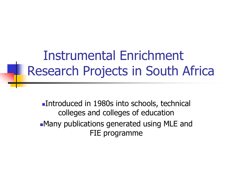#### Instrumental Enrichment Research Projects in South Africa

Introduced in 1980s into schools, technical colleges and colleges of education Many publications generated using MLE and FIE programme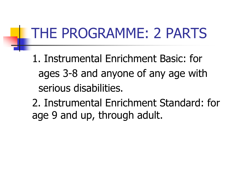# THE PROGRAMME: 2 PARTS

- 1. Instrumental Enrichment Basic: for ages 3-8 and anyone of any age with serious disabilities.
- 2. Instrumental Enrichment Standard: for age 9 and up, through adult.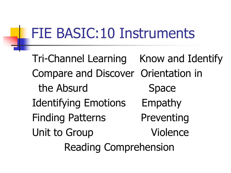## FIE BASIC:10 Instruments

Tri-Channel Learning Know and Identify Compare and Discover Orientation in the Absurd Space Identifying Emotions Empathy Finding Patterns Preventing Unit to Group Violence Reading Comprehension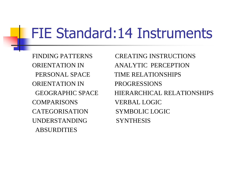#### FIE Standard:14 Instruments

ORIENTATION IN PROGRESSIONS COMPARISONS VERBAL LOGIC CATEGORISATION SYMBOLIC LOGIC UNDERSTANDING SYNTHESIS ABSURDITIES

FINDING PATTERNS CREATING INSTRUCTIONS ORIENTATION IN ANALYTIC PERCEPTION PERSONAL SPACE TIME RELATIONSHIPS GEOGRAPHIC SPACE HIERARCHICAL RELATIONSHIPS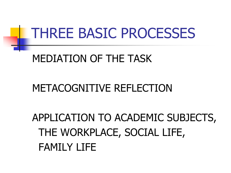### THREE BASIC PROCESSES

#### MEDIATION OF THE TASK

#### METACOGNITIVE REFLECTION

#### APPLICATION TO ACADEMIC SUBJECTS, THE WORKPLACE, SOCIAL LIFE, FAMILY LIFE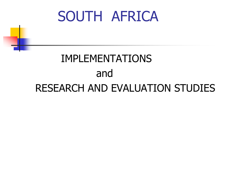#### SOUTH AFRICA

#### IMPLEMENTATIONS and RESEARCH AND EVALUATION STUDIES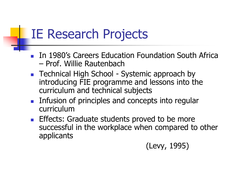#### IE Research Projects

- **IF In 1980's Careers Education Foundation South Africa** – Prof. Willie Rautenbach
- Technical High School Systemic approach by introducing FIE programme and lessons into the curriculum and technical subjects
- **Infusion of principles and concepts into regular** curriculum
- **Effects: Graduate students proved to be more** successful in the workplace when compared to other applicants

(Levy, 1995)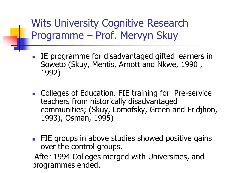Wits University Cognitive Research Programme – Prof. Mervyn Skuy

- **IF programme for disadvantaged gifted learners in** Soweto (Skuy, Mentis, Arnott and Nkwe, 1990 , 1992)
- **Colleges of Education. FIE training for Pre-service** teachers from historically disadvantaged communities; (Skuy, Lomofsky, Green and Fridjhon, 1993), Osman, 1995)
- **FIE groups in above studies showed positive gains** over the control groups.

After 1994 Colleges merged with Universities, and programmes ended.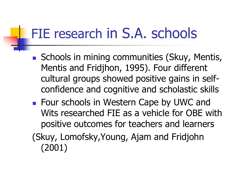## FIE research in S.A. schools

- Schools in mining communities (Skuy, Mentis, Mentis and Fridjhon, 1995). Four different cultural groups showed positive gains in selfconfidence and cognitive and scholastic skills
- **Four schools in Western Cape by UWC and** Wits researched FIE as a vehicle for OBE with positive outcomes for teachers and learners
- (Skuy, Lomofsky,Young, Ajam and Fridjohn (2001)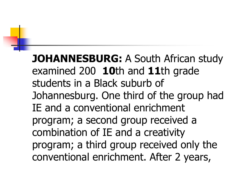**JOHANNESBURG: A South African study** examined 200 **10**th and **11**th grade students in a Black suburb of Johannesburg. One third of the group had IE and a conventional enrichment program; a second group received a combination of IE and a creativity program; a third group received only the conventional enrichment. After 2 years,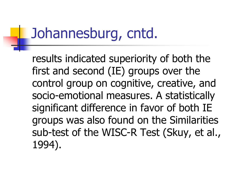# Johannesburg, cntd.

results indicated superiority of both the first and second (IE) groups over the control group on cognitive, creative, and socio-emotional measures. A statistically significant difference in favor of both IE groups was also found on the Similarities sub-test of the WISC-R Test (Skuy, et al., 1994).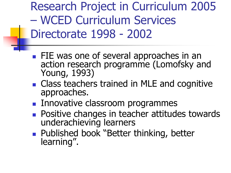Research Project in Curriculum 2005 – WCED Curriculum Services Directorate 1998 - 2002

- **FIE was one of several approaches in an** action research programme (Lomofsky and Young, 1993)
- **Class teachers trained in MLE and cognitive** approaches.
- **Innovative classroom programmes**
- **Positive changes in teacher attitudes towards** underachieving learners
- **Published book "Better thinking, better** learning".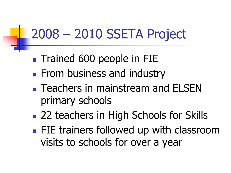#### 2008 – 2010 SSETA Project

- **Trained 600 people in FIE**
- **Ficangle From business and industry**
- **Teachers in mainstream and ELSEN** primary schools
- 22 teachers in High Schools for Skills
- **FIE trainers followed up with classroom** visits to schools for over a year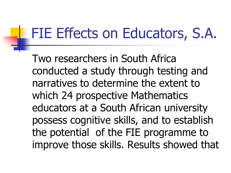## FIE Effects on Educators, S.A.

Two researchers in South Africa conducted a study through testing and narratives to determine the extent to which 24 prospective Mathematics educators at a South African university possess cognitive skills, and to establish the potential of the FIE programme to improve those skills. Results showed that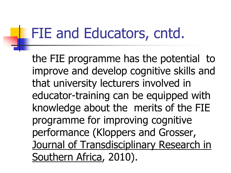# FIE and Educators, cntd.

the FIE programme has the potential to improve and develop cognitive skills and that university lecturers involved in educator-training can be equipped with knowledge about the merits of the FIE programme for improving cognitive performance (Kloppers and Grosser, **Journal of Transdisciplinary Research in** Southern Africa, 2010).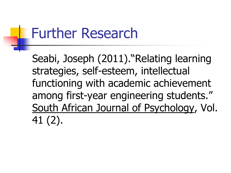### Further Research

Seabi, Joseph (2011)."Relating learning strategies, self-esteem, intellectual functioning with academic achievement among first-year engineering students." South African Journal of Psychology, Vol. 41 (2).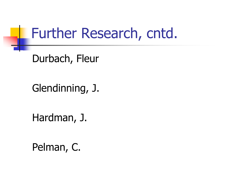# Further Research, cntd.

Durbach, Fleur

Glendinning, J.

Hardman, J.

Pelman, C.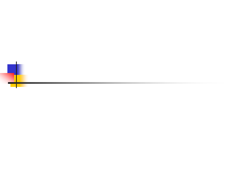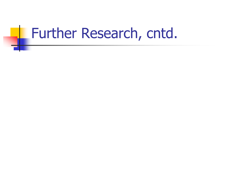# Further Research, cntd.

۰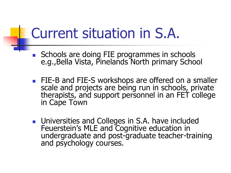# Current situation in S.A.

- Schools are doing FIE programmes in schools e.g.,Bella Vista, Pinelands North primary School
- **FIE-B and FIE-S workshops are offered on a smaller** scale and projects are being run in schools, private therapists, and support personnel in an FET college in Cape Town
- **Universities and Colleges in S.A. have included** Feuerstein's MLE and Cognitive education in undergraduate and post-graduate teacher-training and psychology courses.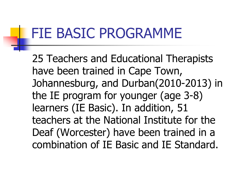## FIE BASIC PROGRAMME

25 Teachers and Educational Therapists have been trained in Cape Town, Johannesburg, and Durban(2010-2013) in the IE program for younger (age 3-8) learners (IE Basic). In addition, 51 teachers at the National Institute for the Deaf (Worcester) have been trained in a combination of IE Basic and IE Standard.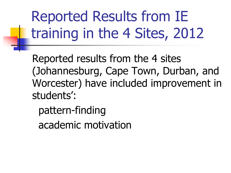Reported Results from IE training in the 4 Sites, 2012

Reported results from the 4 sites (Johannesburg, Cape Town, Durban, and Worcester) have included improvement in students':

pattern-finding

academic motivation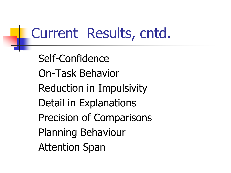# Current Results, cntd.

 Self-Confidence On-Task Behavior Reduction in Impulsivity Detail in Explanations Precision of Comparisons Planning Behaviour Attention Span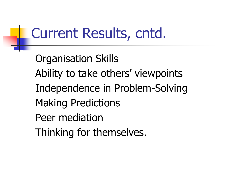# Current Results, cntd.

Organisation Skills Ability to take others' viewpoints Independence in Problem-Solving Making Predictions Peer mediation Thinking for themselves.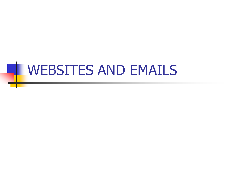# **WEBSITES AND EMAILS**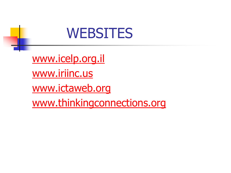#### WEBSITES

[www.icelp.org.il](http://www.icelp.org.il/) [www.iriinc.us](http://www.iriinc.us/) [www.ictaweb.org](http://www.ictaweb.org/) [www.thinkingconnections.org](http://www.thinkingconnections.org/)